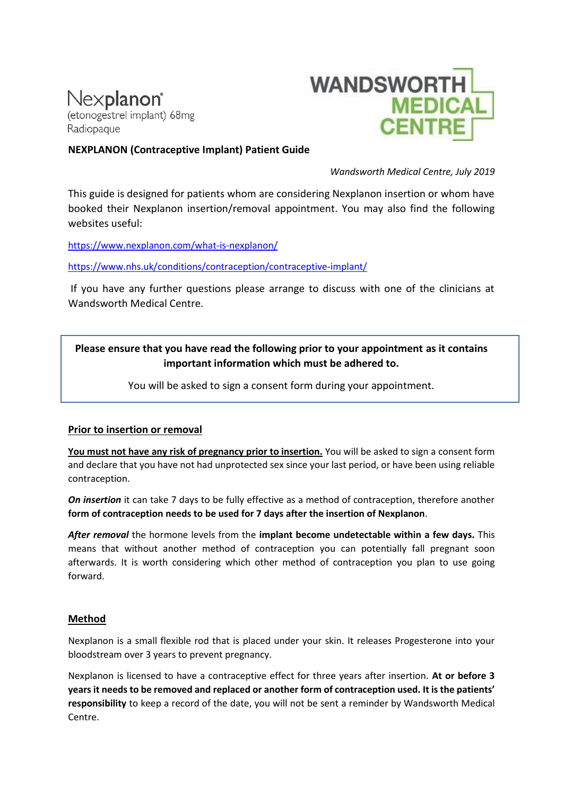# Nexplanon® (etonogestrel implant) 68mg Radiopaque



### **NEXPLANON (Contraceptive Implant) Patient Guide**

*Wandsworth Medical Centre, July 2019*

This guide is designed for patients whom are considering Nexplanon insertion or whom have booked their Nexplanon insertion/removal appointment. You may also find the following websites useful:

<https://www.nexplanon.com/what-is-nexplanon/>

<https://www.nhs.uk/conditions/contraception/contraceptive-implant/>

If you have any further questions please arrange to discuss with one of the clinicians at Wandsworth Medical Centre.

## **Please ensure that you have read the following prior to your appointment as it contains important information which must be adhered to.**

You will be asked to sign a consent form during your appointment.

#### **Prior to insertion or removal**

**You must not have any risk of pregnancy prior to insertion.** You will be asked to sign a consent form and declare that you have not had unprotected sex since your last period, or have been using reliable contraception.

*On insertion* it can take 7 days to be fully effective as a method of contraception, therefore another **form of contraception needs to be used for 7 days after the insertion of Nexplanon**.

*After removal* the hormone levels from the **implant become undetectable within a few days.** This means that without another method of contraception you can potentially fall pregnant soon afterwards. It is worth considering which other method of contraception you plan to use going forward.

#### **Method**

Nexplanon is a small flexible rod that is placed under your skin. It releases Progesterone into your bloodstream over 3 years to prevent pregnancy.

Nexplanon is licensed to have a contraceptive effect for three years after insertion. **At or before 3 years it needs to be removed and replaced or another form of contraception used. It is the patients' responsibility** to keep a record of the date, you will not be sent a reminder by Wandsworth Medical Centre.